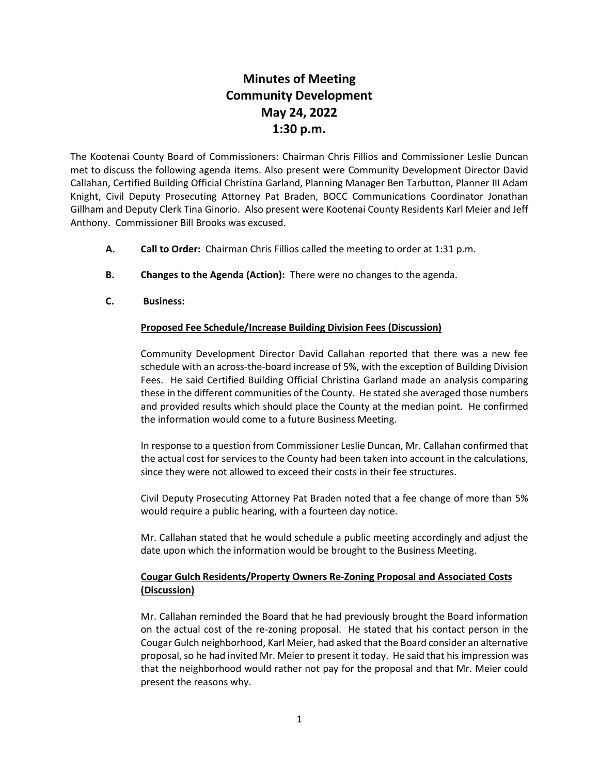## **Minutes of Meeting Community Development May 24, 2022 1:30 p.m.**

The Kootenai County Board of Commissioners: Chairman Chris Fillios and Commissioner Leslie Duncan met to discuss the following agenda items. Also present were Community Development Director David Callahan, Certified Building Official Christina Garland, Planning Manager Ben Tarbutton, Planner III Adam Knight, Civil Deputy Prosecuting Attorney Pat Braden, BOCC Communications Coordinator Jonathan Gillham and Deputy Clerk Tina Ginorio. Also present were Kootenai County Residents Karl Meier and Jeff Anthony. Commissioner Bill Brooks was excused.

- **A. Call to Order:** Chairman Chris Fillios called the meeting to order at 1:31 p.m.
- **B. Changes to the Agenda (Action):** There were no changes to the agenda.
- **C. Business:**

## **Proposed Fee Schedule/Increase Building Division Fees (Discussion)**

Community Development Director David Callahan reported that there was a new fee schedule with an across-the-board increase of 5%, with the exception of Building Division Fees. He said Certified Building Official Christina Garland made an analysis comparing these in the different communities of the County. He stated she averaged those numbers and provided results which should place the County at the median point. He confirmed the information would come to a future Business Meeting.

In response to a question from Commissioner Leslie Duncan, Mr. Callahan confirmed that the actual cost for services to the County had been taken into account in the calculations, since they were not allowed to exceed their costs in their fee structures.

Civil Deputy Prosecuting Attorney Pat Braden noted that a fee change of more than 5% would require a public hearing, with a fourteen day notice.

Mr. Callahan stated that he would schedule a public meeting accordingly and adjust the date upon which the information would be brought to the Business Meeting.

## **Cougar Gulch Residents/Property Owners Re-Zoning Proposal and Associated Costs (Discussion)**

Mr. Callahan reminded the Board that he had previously brought the Board information on the actual cost of the re-zoning proposal. He stated that his contact person in the Cougar Gulch neighborhood, Karl Meier, had asked that the Board consider an alternative proposal, so he had invited Mr. Meier to present it today. He said that his impression was that the neighborhood would rather not pay for the proposal and that Mr. Meier could present the reasons why.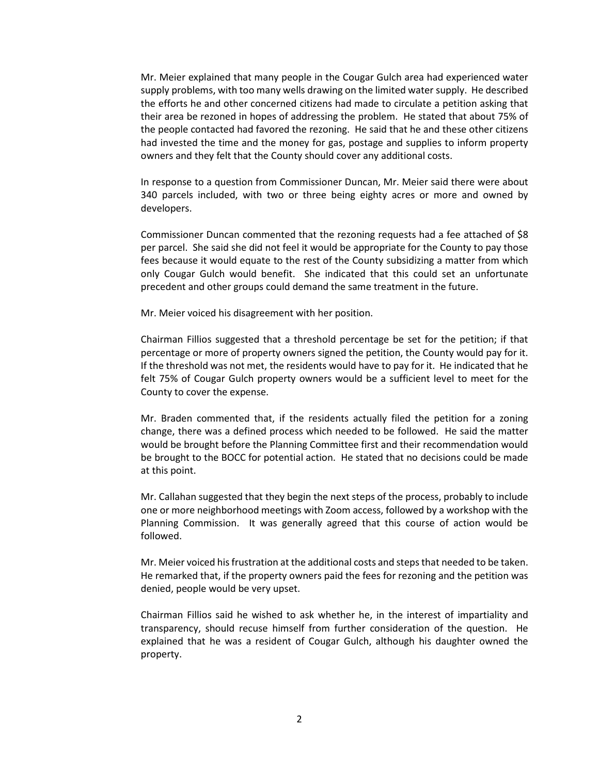Mr. Meier explained that many people in the Cougar Gulch area had experienced water supply problems, with too many wells drawing on the limited water supply. He described the efforts he and other concerned citizens had made to circulate a petition asking that their area be rezoned in hopes of addressing the problem. He stated that about 75% of the people contacted had favored the rezoning. He said that he and these other citizens had invested the time and the money for gas, postage and supplies to inform property owners and they felt that the County should cover any additional costs.

In response to a question from Commissioner Duncan, Mr. Meier said there were about 340 parcels included, with two or three being eighty acres or more and owned by developers.

Commissioner Duncan commented that the rezoning requests had a fee attached of \$8 per parcel. She said she did not feel it would be appropriate for the County to pay those fees because it would equate to the rest of the County subsidizing a matter from which only Cougar Gulch would benefit. She indicated that this could set an unfortunate precedent and other groups could demand the same treatment in the future.

Mr. Meier voiced his disagreement with her position.

Chairman Fillios suggested that a threshold percentage be set for the petition; if that percentage or more of property owners signed the petition, the County would pay for it. If the threshold was not met, the residents would have to pay for it. He indicated that he felt 75% of Cougar Gulch property owners would be a sufficient level to meet for the County to cover the expense.

Mr. Braden commented that, if the residents actually filed the petition for a zoning change, there was a defined process which needed to be followed. He said the matter would be brought before the Planning Committee first and their recommendation would be brought to the BOCC for potential action. He stated that no decisions could be made at this point.

Mr. Callahan suggested that they begin the next steps of the process, probably to include one or more neighborhood meetings with Zoom access, followed by a workshop with the Planning Commission. It was generally agreed that this course of action would be followed.

Mr. Meier voiced his frustration at the additional costs and steps that needed to be taken. He remarked that, if the property owners paid the fees for rezoning and the petition was denied, people would be very upset.

Chairman Fillios said he wished to ask whether he, in the interest of impartiality and transparency, should recuse himself from further consideration of the question. He explained that he was a resident of Cougar Gulch, although his daughter owned the property.